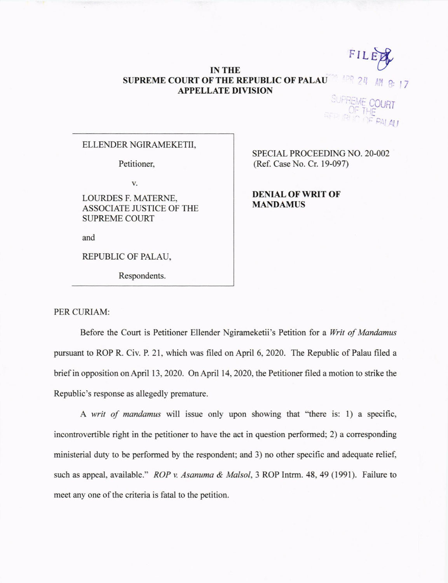FILE

## **IN THE SUPREME COURT OF THE REPUBLIC OF PALAU APPELLATE DIVISION**

**COURT** 

## ELLENDER NGIRAMEKETII,

Petitioner,

v.

LOURDES F. MATERNE, ASSOCIATE JUSTICE OF THE SUPREME COURT

and

REPUBLIC OF PALAU,

Respondents.

SPECIAL PROCEEDING NO. 20-002 (Ref. Case No. Cr. 19-097)

**DENIAL OF WRIT OF MANDAMUS** 

PER CURIAM:

Before the Court is Petitioner Ellender Ngirameketii's Petition for a *Writ of Mandamus*  pursuant to ROP R. Civ. P. 21, which was filed on April 6, 2020. The Republic of Palau filed a brief in opposition on April 13, 2020. On April 14, 2020, the Petitioner filed a motion to strike the Republic's response as allegedly premature.

A *writ of mandamus* will issue only upon showing that "there is: 1) a specific, incontrovertible right in the petitioner to have the act in question performed; 2) a corresponding ministerial duty to be performed by the respondent; and 3) no other specific and adequate relief, such as appeal, available." *ROP v. Asanuma & Malsol,* 3 ROP Intrm. 48, **49** (1991). Failure to meet any one of the criteria is fatal to the petition.